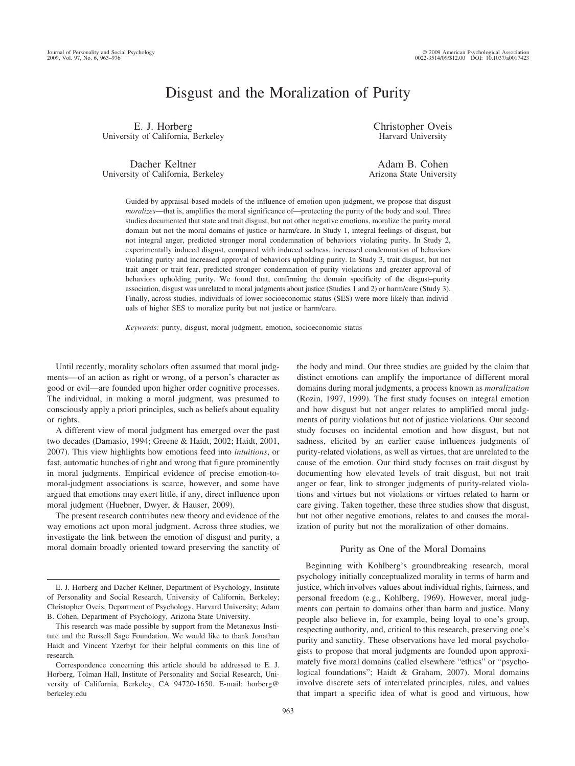# Disgust and the Moralization of Purity

E. J. Horberg University of California, Berkeley

Dacher Keltner University of California, Berkeley Christopher Oveis Harvard University

Adam B. Cohen Arizona State University

Guided by appraisal-based models of the influence of emotion upon judgment, we propose that disgust *moralizes*—that is, amplifies the moral significance of—protecting the purity of the body and soul. Three studies documented that state and trait disgust, but not other negative emotions, moralize the purity moral domain but not the moral domains of justice or harm/care. In Study 1, integral feelings of disgust, but not integral anger, predicted stronger moral condemnation of behaviors violating purity. In Study 2, experimentally induced disgust, compared with induced sadness, increased condemnation of behaviors violating purity and increased approval of behaviors upholding purity. In Study 3, trait disgust, but not trait anger or trait fear, predicted stronger condemnation of purity violations and greater approval of behaviors upholding purity. We found that, confirming the domain specificity of the disgust–purity association, disgust was unrelated to moral judgments about justice (Studies 1 and 2) or harm/care (Study 3). Finally, across studies, individuals of lower socioeconomic status (SES) were more likely than individuals of higher SES to moralize purity but not justice or harm/care.

*Keywords:* purity, disgust, moral judgment, emotion, socioeconomic status

Until recently, morality scholars often assumed that moral judgments— of an action as right or wrong, of a person's character as good or evil—are founded upon higher order cognitive processes. The individual, in making a moral judgment, was presumed to consciously apply a priori principles, such as beliefs about equality or rights.

A different view of moral judgment has emerged over the past two decades (Damasio, 1994; Greene & Haidt, 2002; Haidt, 2001, 2007). This view highlights how emotions feed into *intuitions*, or fast, automatic hunches of right and wrong that figure prominently in moral judgments. Empirical evidence of precise emotion-tomoral-judgment associations is scarce, however, and some have argued that emotions may exert little, if any, direct influence upon moral judgment (Huebner, Dwyer, & Hauser, 2009).

The present research contributes new theory and evidence of the way emotions act upon moral judgment. Across three studies, we investigate the link between the emotion of disgust and purity, a moral domain broadly oriented toward preserving the sanctity of the body and mind. Our three studies are guided by the claim that distinct emotions can amplify the importance of different moral domains during moral judgments, a process known as *moralization* (Rozin, 1997, 1999). The first study focuses on integral emotion and how disgust but not anger relates to amplified moral judgments of purity violations but not of justice violations. Our second study focuses on incidental emotion and how disgust, but not sadness, elicited by an earlier cause influences judgments of purity-related violations, as well as virtues, that are unrelated to the cause of the emotion. Our third study focuses on trait disgust by documenting how elevated levels of trait disgust, but not trait anger or fear, link to stronger judgments of purity-related violations and virtues but not violations or virtues related to harm or care giving. Taken together, these three studies show that disgust, but not other negative emotions, relates to and causes the moralization of purity but not the moralization of other domains.

### Purity as One of the Moral Domains

Beginning with Kohlberg's groundbreaking research, moral psychology initially conceptualized morality in terms of harm and justice, which involves values about individual rights, fairness, and personal freedom (e.g., Kohlberg, 1969). However, moral judgments can pertain to domains other than harm and justice. Many people also believe in, for example, being loyal to one's group, respecting authority, and, critical to this research, preserving one's purity and sanctity. These observations have led moral psychologists to propose that moral judgments are founded upon approximately five moral domains (called elsewhere "ethics" or "psychological foundations"; Haidt & Graham, 2007). Moral domains involve discrete sets of interrelated principles, rules, and values that impart a specific idea of what is good and virtuous, how

E. J. Horberg and Dacher Keltner, Department of Psychology, Institute of Personality and Social Research, University of California, Berkeley; Christopher Oveis, Department of Psychology, Harvard University; Adam B. Cohen, Department of Psychology, Arizona State University.

This research was made possible by support from the Metanexus Institute and the Russell Sage Foundation. We would like to thank Jonathan Haidt and Vincent Yzerbyt for their helpful comments on this line of research.

Correspondence concerning this article should be addressed to E. J. Horberg, Tolman Hall, Institute of Personality and Social Research, University of California, Berkeley, CA 94720-1650. E-mail: horberg@ berkeley.edu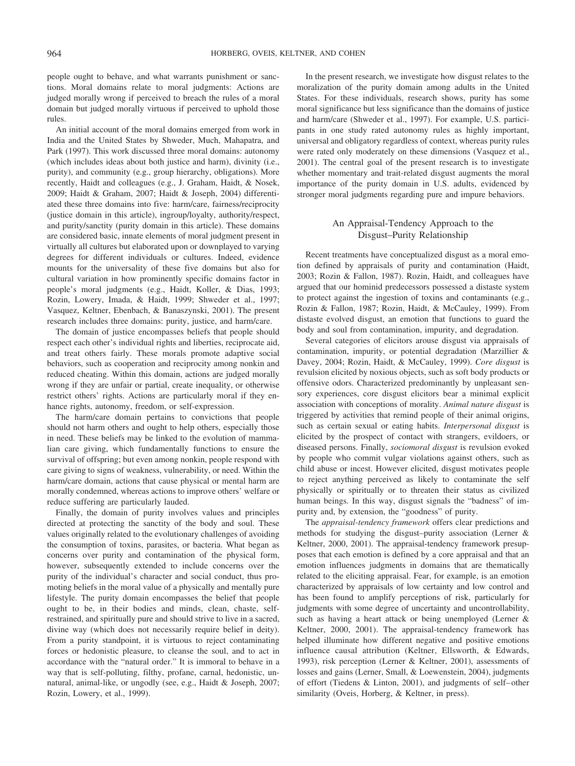people ought to behave, and what warrants punishment or sanctions. Moral domains relate to moral judgments: Actions are judged morally wrong if perceived to breach the rules of a moral domain but judged morally virtuous if perceived to uphold those rules.

An initial account of the moral domains emerged from work in India and the United States by Shweder, Much, Mahapatra, and Park (1997). This work discussed three moral domains: autonomy (which includes ideas about both justice and harm), divinity (i.e., purity), and community (e.g., group hierarchy, obligations). More recently, Haidt and colleagues (e.g., J. Graham, Haidt, & Nosek, 2009; Haidt & Graham, 2007; Haidt & Joseph, 2004) differentiated these three domains into five: harm/care, fairness/reciprocity (justice domain in this article), ingroup/loyalty, authority/respect, and purity/sanctity (purity domain in this article). These domains are considered basic, innate elements of moral judgment present in virtually all cultures but elaborated upon or downplayed to varying degrees for different individuals or cultures. Indeed, evidence mounts for the universality of these five domains but also for cultural variation in how prominently specific domains factor in people's moral judgments (e.g., Haidt, Koller, & Dias, 1993; Rozin, Lowery, Imada, & Haidt, 1999; Shweder et al., 1997; Vasquez, Keltner, Ebenbach, & Banaszynski, 2001). The present research includes three domains: purity, justice, and harm/care.

The domain of justice encompasses beliefs that people should respect each other's individual rights and liberties, reciprocate aid, and treat others fairly. These morals promote adaptive social behaviors, such as cooperation and reciprocity among nonkin and reduced cheating. Within this domain, actions are judged morally wrong if they are unfair or partial, create inequality, or otherwise restrict others' rights. Actions are particularly moral if they enhance rights, autonomy, freedom, or self-expression.

The harm/care domain pertains to convictions that people should not harm others and ought to help others, especially those in need. These beliefs may be linked to the evolution of mammalian care giving, which fundamentally functions to ensure the survival of offspring; but even among nonkin, people respond with care giving to signs of weakness, vulnerability, or need. Within the harm/care domain, actions that cause physical or mental harm are morally condemned, whereas actions to improve others' welfare or reduce suffering are particularly lauded.

Finally, the domain of purity involves values and principles directed at protecting the sanctity of the body and soul. These values originally related to the evolutionary challenges of avoiding the consumption of toxins, parasites, or bacteria. What began as concerns over purity and contamination of the physical form, however, subsequently extended to include concerns over the purity of the individual's character and social conduct, thus promoting beliefs in the moral value of a physically and mentally pure lifestyle. The purity domain encompasses the belief that people ought to be, in their bodies and minds, clean, chaste, selfrestrained, and spiritually pure and should strive to live in a sacred, divine way (which does not necessarily require belief in deity). From a purity standpoint, it is virtuous to reject contaminating forces or hedonistic pleasure, to cleanse the soul, and to act in accordance with the "natural order." It is immoral to behave in a way that is self-polluting, filthy, profane, carnal, hedonistic, unnatural, animal-like, or ungodly (see, e.g., Haidt & Joseph, 2007; Rozin, Lowery, et al., 1999).

In the present research, we investigate how disgust relates to the moralization of the purity domain among adults in the United States. For these individuals, research shows, purity has some moral significance but less significance than the domains of justice and harm/care (Shweder et al., 1997). For example, U.S. participants in one study rated autonomy rules as highly important, universal and obligatory regardless of context, whereas purity rules were rated only moderately on these dimensions (Vasquez et al., 2001). The central goal of the present research is to investigate whether momentary and trait-related disgust augments the moral importance of the purity domain in U.S. adults, evidenced by stronger moral judgments regarding pure and impure behaviors.

# An Appraisal-Tendency Approach to the Disgust–Purity Relationship

Recent treatments have conceptualized disgust as a moral emotion defined by appraisals of purity and contamination (Haidt, 2003; Rozin & Fallon, 1987). Rozin, Haidt, and colleagues have argued that our hominid predecessors possessed a distaste system to protect against the ingestion of toxins and contaminants (e.g., Rozin & Fallon, 1987; Rozin, Haidt, & McCauley, 1999). From distaste evolved disgust, an emotion that functions to guard the body and soul from contamination, impurity, and degradation.

Several categories of elicitors arouse disgust via appraisals of contamination, impurity, or potential degradation (Marzillier & Davey, 2004; Rozin, Haidt, & McCauley, 1999). *Core disgust* is revulsion elicited by noxious objects, such as soft body products or offensive odors. Characterized predominantly by unpleasant sensory experiences, core disgust elicitors bear a minimal explicit association with conceptions of morality. *Animal nature disgust* is triggered by activities that remind people of their animal origins, such as certain sexual or eating habits. *Interpersonal disgust* is elicited by the prospect of contact with strangers, evildoers, or diseased persons. Finally, *sociomoral disgust* is revulsion evoked by people who commit vulgar violations against others, such as child abuse or incest. However elicited, disgust motivates people to reject anything perceived as likely to contaminate the self physically or spiritually or to threaten their status as civilized human beings. In this way, disgust signals the "badness" of impurity and, by extension, the "goodness" of purity.

The *appraisal-tendency framework* offers clear predictions and methods for studying the disgust–purity association (Lerner & Keltner, 2000, 2001). The appraisal-tendency framework presupposes that each emotion is defined by a core appraisal and that an emotion influences judgments in domains that are thematically related to the eliciting appraisal. Fear, for example, is an emotion characterized by appraisals of low certainty and low control and has been found to amplify perceptions of risk, particularly for judgments with some degree of uncertainty and uncontrollability, such as having a heart attack or being unemployed (Lerner & Keltner, 2000, 2001). The appraisal-tendency framework has helped illuminate how different negative and positive emotions influence causal attribution (Keltner, Ellsworth, & Edwards, 1993), risk perception (Lerner & Keltner, 2001), assessments of losses and gains (Lerner, Small, & Loewenstein, 2004), judgments of effort (Tiedens & Linton, 2001), and judgments of self– other similarity (Oveis, Horberg, & Keltner, in press).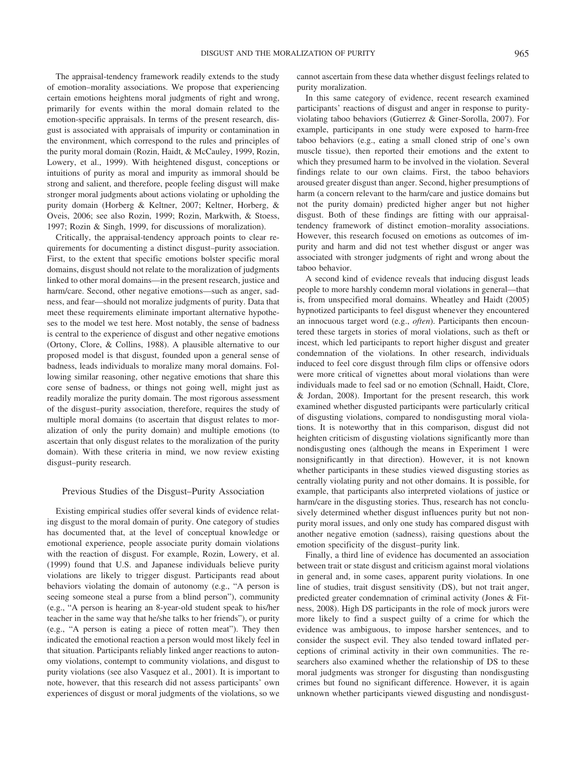The appraisal-tendency framework readily extends to the study of emotion–morality associations. We propose that experiencing certain emotions heightens moral judgments of right and wrong, primarily for events within the moral domain related to the emotion-specific appraisals. In terms of the present research, disgust is associated with appraisals of impurity or contamination in the environment, which correspond to the rules and principles of the purity moral domain (Rozin, Haidt, & McCauley, 1999, Rozin, Lowery, et al., 1999). With heightened disgust, conceptions or intuitions of purity as moral and impurity as immoral should be strong and salient, and therefore, people feeling disgust will make stronger moral judgments about actions violating or upholding the purity domain (Horberg & Keltner, 2007; Keltner, Horberg, & Oveis, 2006; see also Rozin, 1999; Rozin, Markwith, & Stoess, 1997; Rozin & Singh, 1999, for discussions of moralization).

Critically, the appraisal-tendency approach points to clear requirements for documenting a distinct disgust–purity association. First, to the extent that specific emotions bolster specific moral domains, disgust should not relate to the moralization of judgments linked to other moral domains—in the present research, justice and harm/care. Second, other negative emotions—such as anger, sadness, and fear—should not moralize judgments of purity. Data that meet these requirements eliminate important alternative hypotheses to the model we test here. Most notably, the sense of badness is central to the experience of disgust and other negative emotions (Ortony, Clore, & Collins, 1988). A plausible alternative to our proposed model is that disgust, founded upon a general sense of badness, leads individuals to moralize many moral domains. Following similar reasoning, other negative emotions that share this core sense of badness, or things not going well, might just as readily moralize the purity domain. The most rigorous assessment of the disgust–purity association, therefore, requires the study of multiple moral domains (to ascertain that disgust relates to moralization of only the purity domain) and multiple emotions (to ascertain that only disgust relates to the moralization of the purity domain). With these criteria in mind, we now review existing disgust–purity research.

### Previous Studies of the Disgust–Purity Association

Existing empirical studies offer several kinds of evidence relating disgust to the moral domain of purity. One category of studies has documented that, at the level of conceptual knowledge or emotional experience, people associate purity domain violations with the reaction of disgust. For example, Rozin, Lowery, et al. (1999) found that U.S. and Japanese individuals believe purity violations are likely to trigger disgust. Participants read about behaviors violating the domain of autonomy (e.g., "A person is seeing someone steal a purse from a blind person"), community (e.g., "A person is hearing an 8-year-old student speak to his/her teacher in the same way that he/she talks to her friends"), or purity (e.g., "A person is eating a piece of rotten meat"). They then indicated the emotional reaction a person would most likely feel in that situation. Participants reliably linked anger reactions to autonomy violations, contempt to community violations, and disgust to purity violations (see also Vasquez et al., 2001). It is important to note, however, that this research did not assess participants' own experiences of disgust or moral judgments of the violations, so we

cannot ascertain from these data whether disgust feelings related to purity moralization.

In this same category of evidence, recent research examined participants' reactions of disgust and anger in response to purityviolating taboo behaviors (Gutierrez & Giner-Sorolla, 2007). For example, participants in one study were exposed to harm-free taboo behaviors (e.g., eating a small cloned strip of one's own muscle tissue), then reported their emotions and the extent to which they presumed harm to be involved in the violation. Several findings relate to our own claims. First, the taboo behaviors aroused greater disgust than anger. Second, higher presumptions of harm (a concern relevant to the harm/care and justice domains but not the purity domain) predicted higher anger but not higher disgust. Both of these findings are fitting with our appraisaltendency framework of distinct emotion–morality associations. However, this research focused on emotions as outcomes of impurity and harm and did not test whether disgust or anger was associated with stronger judgments of right and wrong about the taboo behavior.

A second kind of evidence reveals that inducing disgust leads people to more harshly condemn moral violations in general—that is, from unspecified moral domains. Wheatley and Haidt (2005) hypnotized participants to feel disgust whenever they encountered an innocuous target word (e.g., *often*). Participants then encountered these targets in stories of moral violations, such as theft or incest, which led participants to report higher disgust and greater condemnation of the violations. In other research, individuals induced to feel core disgust through film clips or offensive odors were more critical of vignettes about moral violations than were individuals made to feel sad or no emotion (Schnall, Haidt, Clore, & Jordan, 2008). Important for the present research, this work examined whether disgusted participants were particularly critical of disgusting violations, compared to nondisgusting moral violations. It is noteworthy that in this comparison, disgust did not heighten criticism of disgusting violations significantly more than nondisgusting ones (although the means in Experiment 1 were nonsignificantly in that direction). However, it is not known whether participants in these studies viewed disgusting stories as centrally violating purity and not other domains. It is possible, for example, that participants also interpreted violations of justice or harm/care in the disgusting stories. Thus, research has not conclusively determined whether disgust influences purity but not nonpurity moral issues, and only one study has compared disgust with another negative emotion (sadness), raising questions about the emotion specificity of the disgust–purity link.

Finally, a third line of evidence has documented an association between trait or state disgust and criticism against moral violations in general and, in some cases, apparent purity violations. In one line of studies, trait disgust sensitivity (DS), but not trait anger, predicted greater condemnation of criminal activity (Jones & Fitness, 2008). High DS participants in the role of mock jurors were more likely to find a suspect guilty of a crime for which the evidence was ambiguous, to impose harsher sentences, and to consider the suspect evil. They also tended toward inflated perceptions of criminal activity in their own communities. The researchers also examined whether the relationship of DS to these moral judgments was stronger for disgusting than nondisgusting crimes but found no significant difference. However, it is again unknown whether participants viewed disgusting and nondisgust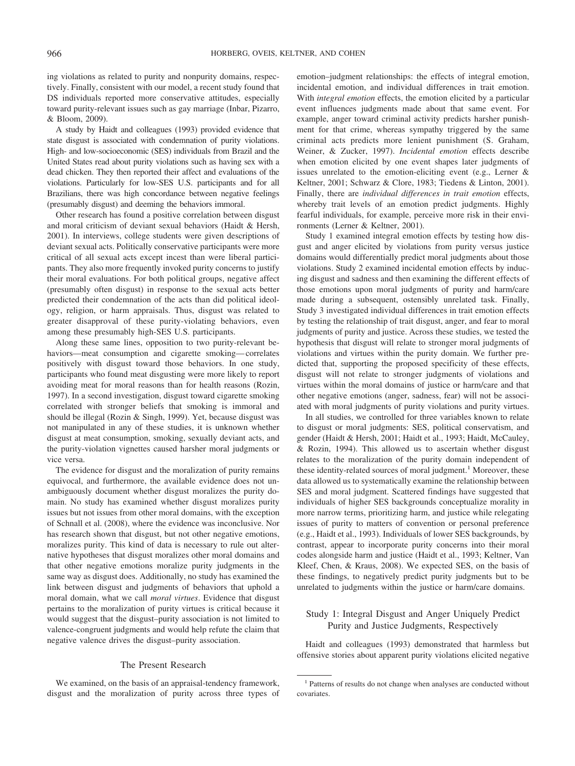ing violations as related to purity and nonpurity domains, respectively. Finally, consistent with our model, a recent study found that DS individuals reported more conservative attitudes, especially toward purity-relevant issues such as gay marriage (Inbar, Pizarro, & Bloom, 2009).

A study by Haidt and colleagues (1993) provided evidence that state disgust is associated with condemnation of purity violations. High- and low-socioeconomic (SES) individuals from Brazil and the United States read about purity violations such as having sex with a dead chicken. They then reported their affect and evaluations of the violations. Particularly for low-SES U.S. participants and for all Brazilians, there was high concordance between negative feelings (presumably disgust) and deeming the behaviors immoral.

Other research has found a positive correlation between disgust and moral criticism of deviant sexual behaviors (Haidt & Hersh, 2001). In interviews, college students were given descriptions of deviant sexual acts. Politically conservative participants were more critical of all sexual acts except incest than were liberal participants. They also more frequently invoked purity concerns to justify their moral evaluations. For both political groups, negative affect (presumably often disgust) in response to the sexual acts better predicted their condemnation of the acts than did political ideology, religion, or harm appraisals. Thus, disgust was related to greater disapproval of these purity-violating behaviors, even among these presumably high-SES U.S. participants.

Along these same lines, opposition to two purity-relevant behaviors—meat consumption and cigarette smoking— correlates positively with disgust toward those behaviors. In one study, participants who found meat disgusting were more likely to report avoiding meat for moral reasons than for health reasons (Rozin, 1997). In a second investigation, disgust toward cigarette smoking correlated with stronger beliefs that smoking is immoral and should be illegal (Rozin & Singh, 1999). Yet, because disgust was not manipulated in any of these studies, it is unknown whether disgust at meat consumption, smoking, sexually deviant acts, and the purity-violation vignettes caused harsher moral judgments or vice versa.

The evidence for disgust and the moralization of purity remains equivocal, and furthermore, the available evidence does not unambiguously document whether disgust moralizes the purity domain. No study has examined whether disgust moralizes purity issues but not issues from other moral domains, with the exception of Schnall et al. (2008), where the evidence was inconclusive. Nor has research shown that disgust, but not other negative emotions, moralizes purity. This kind of data is necessary to rule out alternative hypotheses that disgust moralizes other moral domains and that other negative emotions moralize purity judgments in the same way as disgust does. Additionally, no study has examined the link between disgust and judgments of behaviors that uphold a moral domain, what we call *moral virtues*. Evidence that disgust pertains to the moralization of purity virtues is critical because it would suggest that the disgust–purity association is not limited to valence-congruent judgments and would help refute the claim that negative valence drives the disgust–purity association.

# The Present Research

We examined, on the basis of an appraisal-tendency framework, disgust and the moralization of purity across three types of emotion–judgment relationships: the effects of integral emotion, incidental emotion, and individual differences in trait emotion. With *integral emotion* effects, the emotion elicited by a particular event influences judgments made about that same event. For example, anger toward criminal activity predicts harsher punishment for that crime, whereas sympathy triggered by the same criminal acts predicts more lenient punishment (S. Graham, Weiner, & Zucker, 1997). *Incidental emotion* effects describe when emotion elicited by one event shapes later judgments of issues unrelated to the emotion-eliciting event (e.g., Lerner & Keltner, 2001; Schwarz & Clore, 1983; Tiedens & Linton, 2001). Finally, there are *individual differences in trait emotion* effects, whereby trait levels of an emotion predict judgments. Highly fearful individuals, for example, perceive more risk in their environments (Lerner & Keltner, 2001).

Study 1 examined integral emotion effects by testing how disgust and anger elicited by violations from purity versus justice domains would differentially predict moral judgments about those violations. Study 2 examined incidental emotion effects by inducing disgust and sadness and then examining the different effects of those emotions upon moral judgments of purity and harm/care made during a subsequent, ostensibly unrelated task. Finally, Study 3 investigated individual differences in trait emotion effects by testing the relationship of trait disgust, anger, and fear to moral judgments of purity and justice. Across these studies, we tested the hypothesis that disgust will relate to stronger moral judgments of violations and virtues within the purity domain. We further predicted that, supporting the proposed specificity of these effects, disgust will not relate to stronger judgments of violations and virtues within the moral domains of justice or harm/care and that other negative emotions (anger, sadness, fear) will not be associated with moral judgments of purity violations and purity virtues.

In all studies, we controlled for three variables known to relate to disgust or moral judgments: SES, political conservatism, and gender (Haidt & Hersh, 2001; Haidt et al., 1993; Haidt, McCauley, & Rozin, 1994). This allowed us to ascertain whether disgust relates to the moralization of the purity domain independent of these identity-related sources of moral judgment.<sup>1</sup> Moreover, these data allowed us to systematically examine the relationship between SES and moral judgment. Scattered findings have suggested that individuals of higher SES backgrounds conceptualize morality in more narrow terms, prioritizing harm, and justice while relegating issues of purity to matters of convention or personal preference (e.g., Haidt et al., 1993). Individuals of lower SES backgrounds, by contrast, appear to incorporate purity concerns into their moral codes alongside harm and justice (Haidt et al., 1993; Keltner, Van Kleef, Chen, & Kraus, 2008). We expected SES, on the basis of these findings, to negatively predict purity judgments but to be unrelated to judgments within the justice or harm/care domains.

# Study 1: Integral Disgust and Anger Uniquely Predict Purity and Justice Judgments, Respectively

Haidt and colleagues (1993) demonstrated that harmless but offensive stories about apparent purity violations elicited negative

<sup>&</sup>lt;sup>1</sup> Patterns of results do not change when analyses are conducted without covariates.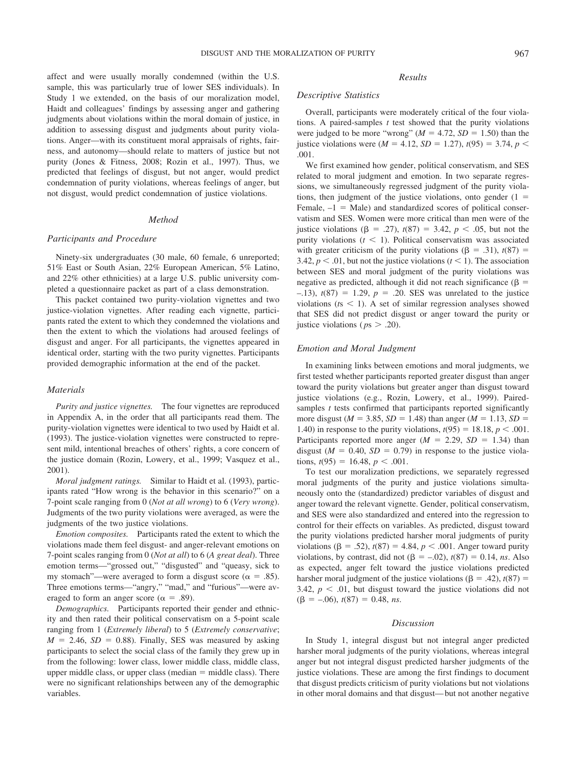addition to assessing disgust and judgments about purity violations. Anger—with its constituent moral appraisals of rights, fairness, and autonomy—should relate to matters of justice but not purity (Jones & Fitness, 2008; Rozin et al., 1997). Thus, we predicted that feelings of disgust, but not anger, would predict condemnation of purity violations, whereas feelings of anger, but not disgust, would predict condemnation of justice violations.

### *Method*

### *Participants and Procedure*

Ninety-six undergraduates (30 male, 60 female, 6 unreported; 51% East or South Asian, 22% European American, 5% Latino, and 22% other ethnicities) at a large U.S. public university completed a questionnaire packet as part of a class demonstration.

This packet contained two purity-violation vignettes and two justice-violation vignettes. After reading each vignette, participants rated the extent to which they condemned the violations and then the extent to which the violations had aroused feelings of disgust and anger. For all participants, the vignettes appeared in identical order, starting with the two purity vignettes. Participants provided demographic information at the end of the packet.

### *Materials*

*Purity and justice vignettes.* The four vignettes are reproduced in Appendix A, in the order that all participants read them. The purity-violation vignettes were identical to two used by Haidt et al. (1993). The justice-violation vignettes were constructed to represent mild, intentional breaches of others' rights, a core concern of the justice domain (Rozin, Lowery, et al., 1999; Vasquez et al., 2001).

*Moral judgment ratings.* Similar to Haidt et al. (1993), participants rated "How wrong is the behavior in this scenario?" on a 7-point scale ranging from 0 (*Not at all wrong*) to 6 (*Very wrong*). Judgments of the two purity violations were averaged, as were the judgments of the two justice violations.

*Emotion composites.* Participants rated the extent to which the violations made them feel disgust- and anger-relevant emotions on 7-point scales ranging from 0 (*Not at all*) to 6 (*A great deal*). Three emotion terms—"grossed out," "disgusted" and "queasy, sick to my stomach"—were averaged to form a disgust score ( $\alpha = .85$ ). Three emotions terms—"angry," "mad," and "furious"—were averaged to form an anger score ( $\alpha = .89$ ).

*Demographics.* Participants reported their gender and ethnicity and then rated their political conservatism on a 5-point scale ranging from 1 (*Extremely liberal*) to 5 (*Extremely conservative*;  $M = 2.46$ ,  $SD = 0.88$ ). Finally, SES was measured by asking participants to select the social class of the family they grew up in from the following: lower class, lower middle class, middle class, upper middle class, or upper class (median  $=$  middle class). There were no significant relationships between any of the demographic variables.

# *Results*

# *Descriptive Statistics*

Overall, participants were moderately critical of the four violations. A paired-samples *t* test showed that the purity violations were judged to be more "wrong"  $(M = 4.72, SD = 1.50)$  than the justice violations were  $(M = 4.12, SD = 1.27), t(95) = 3.74, p <$ .001.

We first examined how gender, political conservatism, and SES related to moral judgment and emotion. In two separate regressions, we simultaneously regressed judgment of the purity violations, then judgment of the justice violations, onto gender  $(1 =$ Female,  $-1$  = Male) and standardized scores of political conservatism and SES. Women were more critical than men were of the justice violations ( $\beta = .27$ ),  $t(87) = 3.42$ ,  $p < .05$ , but not the purity violations  $(t < 1)$ . Political conservatism was associated with greater criticism of the purity violations ( $\beta = .31$ ),  $t(87) =$ 3.42,  $p < .01$ , but not the justice violations ( $t < 1$ ). The association between SES and moral judgment of the purity violations was negative as predicted, although it did not reach significance ( $\beta$  =  $(-.13)$ ,  $t(87) = 1.29$ ,  $p = .20$ . SES was unrelated to the justice violations ( $ts < 1$ ). A set of similar regression analyses showed that SES did not predict disgust or anger toward the purity or justice violations ( $p_s > .20$ ).

### *Emotion and Moral Judgment*

In examining links between emotions and moral judgments, we first tested whether participants reported greater disgust than anger toward the purity violations but greater anger than disgust toward justice violations (e.g., Rozin, Lowery, et al., 1999). Pairedsamples *t* tests confirmed that participants reported significantly more disgust ( $M = 3.85$ ,  $SD = 1.48$ ) than anger ( $M = 1.13$ ,  $SD =$ 1.40) in response to the purity violations,  $t(95) = 18.18$ ,  $p < .001$ . Participants reported more anger  $(M = 2.29, SD = 1.34)$  than disgust ( $M = 0.40$ ,  $SD = 0.79$ ) in response to the justice violations,  $t(95) = 16.48$ ,  $p < .001$ .

To test our moralization predictions, we separately regressed moral judgments of the purity and justice violations simultaneously onto the (standardized) predictor variables of disgust and anger toward the relevant vignette. Gender, political conservatism, and SES were also standardized and entered into the regression to control for their effects on variables. As predicted, disgust toward the purity violations predicted harsher moral judgments of purity violations ( $\beta = .52$ ),  $t(87) = 4.84$ ,  $p < .001$ . Anger toward purity violations, by contrast, did not ( $\beta = -.02$ ),  $t(87) = 0.14$ , *ns*. Also as expected, anger felt toward the justice violations predicted harsher moral judgment of the justice violations ( $\beta = .42$ ),  $t(87) =$ 3.42,  $p < .01$ , but disgust toward the justice violations did not  $(\beta = -.06), t(87) = 0.48, ns.$ 

# *Discussion*

In Study 1, integral disgust but not integral anger predicted harsher moral judgments of the purity violations, whereas integral anger but not integral disgust predicted harsher judgments of the justice violations. These are among the first findings to document that disgust predicts criticism of purity violations but not violations in other moral domains and that disgust— but not another negative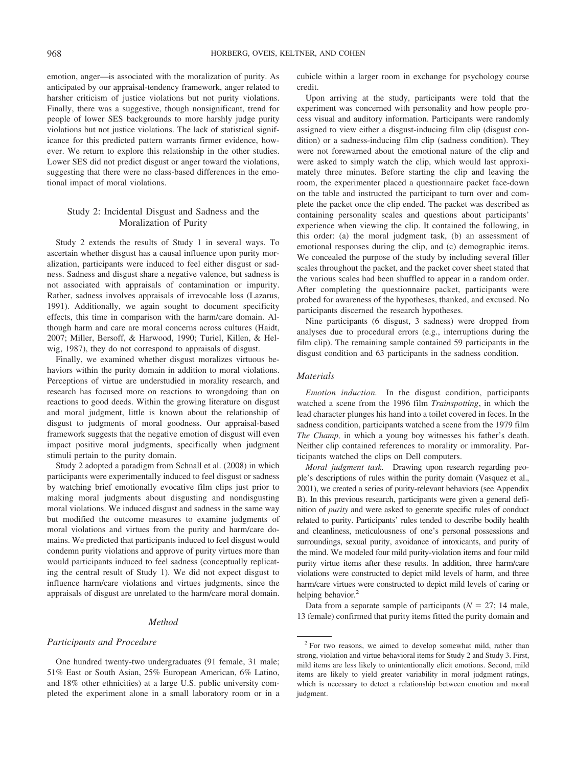emotion, anger—is associated with the moralization of purity. As anticipated by our appraisal-tendency framework, anger related to harsher criticism of justice violations but not purity violations. Finally, there was a suggestive, though nonsignificant, trend for people of lower SES backgrounds to more harshly judge purity violations but not justice violations. The lack of statistical significance for this predicted pattern warrants firmer evidence, however. We return to explore this relationship in the other studies. Lower SES did not predict disgust or anger toward the violations, suggesting that there were no class-based differences in the emotional impact of moral violations.

# Study 2: Incidental Disgust and Sadness and the Moralization of Purity

Study 2 extends the results of Study 1 in several ways. To ascertain whether disgust has a causal influence upon purity moralization, participants were induced to feel either disgust or sadness. Sadness and disgust share a negative valence, but sadness is not associated with appraisals of contamination or impurity. Rather, sadness involves appraisals of irrevocable loss (Lazarus, 1991). Additionally, we again sought to document specificity effects, this time in comparison with the harm/care domain. Although harm and care are moral concerns across cultures (Haidt, 2007; Miller, Bersoff, & Harwood, 1990; Turiel, Killen, & Helwig, 1987), they do not correspond to appraisals of disgust.

Finally, we examined whether disgust moralizes virtuous behaviors within the purity domain in addition to moral violations. Perceptions of virtue are understudied in morality research, and research has focused more on reactions to wrongdoing than on reactions to good deeds. Within the growing literature on disgust and moral judgment, little is known about the relationship of disgust to judgments of moral goodness. Our appraisal-based framework suggests that the negative emotion of disgust will even impact positive moral judgments, specifically when judgment stimuli pertain to the purity domain.

Study 2 adopted a paradigm from Schnall et al. (2008) in which participants were experimentally induced to feel disgust or sadness by watching brief emotionally evocative film clips just prior to making moral judgments about disgusting and nondisgusting moral violations. We induced disgust and sadness in the same way but modified the outcome measures to examine judgments of moral violations and virtues from the purity and harm/care domains. We predicted that participants induced to feel disgust would condemn purity violations and approve of purity virtues more than would participants induced to feel sadness (conceptually replicating the central result of Study 1). We did not expect disgust to influence harm/care violations and virtues judgments, since the appraisals of disgust are unrelated to the harm/care moral domain.

### *Method*

### *Participants and Procedure*

One hundred twenty-two undergraduates (91 female, 31 male; 51% East or South Asian, 25% European American, 6% Latino, and 18% other ethnicities) at a large U.S. public university completed the experiment alone in a small laboratory room or in a cubicle within a larger room in exchange for psychology course credit.

Upon arriving at the study, participants were told that the experiment was concerned with personality and how people process visual and auditory information. Participants were randomly assigned to view either a disgust-inducing film clip (disgust condition) or a sadness-inducing film clip (sadness condition). They were not forewarned about the emotional nature of the clip and were asked to simply watch the clip, which would last approximately three minutes. Before starting the clip and leaving the room, the experimenter placed a questionnaire packet face-down on the table and instructed the participant to turn over and complete the packet once the clip ended. The packet was described as containing personality scales and questions about participants' experience when viewing the clip. It contained the following, in this order: (a) the moral judgment task, (b) an assessment of emotional responses during the clip, and (c) demographic items. We concealed the purpose of the study by including several filler scales throughout the packet, and the packet cover sheet stated that the various scales had been shuffled to appear in a random order. After completing the questionnaire packet, participants were probed for awareness of the hypotheses, thanked, and excused. No participants discerned the research hypotheses.

Nine participants (6 disgust, 3 sadness) were dropped from analyses due to procedural errors (e.g., interruptions during the film clip). The remaining sample contained 59 participants in the disgust condition and 63 participants in the sadness condition.

# *Materials*

*Emotion induction.* In the disgust condition, participants watched a scene from the 1996 film *Trainspotting*, in which the lead character plunges his hand into a toilet covered in feces. In the sadness condition, participants watched a scene from the 1979 film *The Champ,* in which a young boy witnesses his father's death. Neither clip contained references to morality or immorality. Participants watched the clips on Dell computers.

*Moral judgment task.* Drawing upon research regarding people's descriptions of rules within the purity domain (Vasquez et al., 2001), we created a series of purity-relevant behaviors (see Appendix B). In this previous research, participants were given a general definition of *purity* and were asked to generate specific rules of conduct related to purity. Participants' rules tended to describe bodily health and cleanliness, meticulousness of one's personal possessions and surroundings, sexual purity, avoidance of intoxicants, and purity of the mind. We modeled four mild purity-violation items and four mild purity virtue items after these results. In addition, three harm/care violations were constructed to depict mild levels of harm, and three harm/care virtues were constructed to depict mild levels of caring or helping behavior.<sup>2</sup>

Data from a separate sample of participants ( $N = 27$ ; 14 male, 13 female) confirmed that purity items fitted the purity domain and

<sup>2</sup> For two reasons, we aimed to develop somewhat mild, rather than strong, violation and virtue behavioral items for Study 2 and Study 3. First, mild items are less likely to unintentionally elicit emotions. Second, mild items are likely to yield greater variability in moral judgment ratings, which is necessary to detect a relationship between emotion and moral judgment.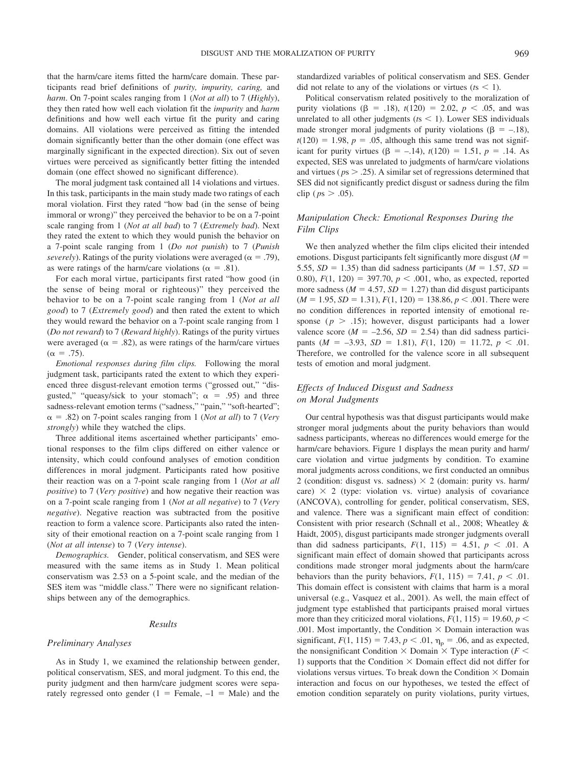that the harm/care items fitted the harm/care domain. These participants read brief definitions of *purity, impurity, caring,* and *harm*. On 7-point scales ranging from 1 (*Not at all*) to 7 (*Highly*), they then rated how well each violation fit the *impurity* and *harm* definitions and how well each virtue fit the purity and caring domains. All violations were perceived as fitting the intended domain significantly better than the other domain (one effect was marginally significant in the expected direction). Six out of seven virtues were perceived as significantly better fitting the intended domain (one effect showed no significant difference).

The moral judgment task contained all 14 violations and virtues. In this task, participants in the main study made two ratings of each moral violation. First they rated "how bad (in the sense of being immoral or wrong)" they perceived the behavior to be on a 7-point scale ranging from 1 (*Not at all bad*) to 7 (*Extremely bad*). Next they rated the extent to which they would punish the behavior on a 7-point scale ranging from 1 (*Do not punish*) to 7 (*Punish* severely). Ratings of the purity violations were averaged ( $\alpha = .79$ ), as were ratings of the harm/care violations ( $\alpha = .81$ ).

For each moral virtue, participants first rated "how good (in the sense of being moral or righteous)" they perceived the behavior to be on a 7-point scale ranging from 1 (*Not at all good*) to 7 (*Extremely good*) and then rated the extent to which they would reward the behavior on a 7-point scale ranging from 1 (*Do not reward*) to 7 (*Reward highly*). Ratings of the purity virtues were averaged ( $\alpha = .82$ ), as were ratings of the harm/care virtues  $(\alpha = .75)$ .

*Emotional responses during film clips.* Following the moral judgment task, participants rated the extent to which they experienced three disgust-relevant emotion terms ("grossed out," "disgusted," "queasy/sick to your stomach";  $\alpha = .95$ ) and three sadness-relevant emotion terms ("sadness," "pain," "soft-hearted";  $\alpha$  = .82) on 7-point scales ranging from 1 (*Not at all*) to 7 (*Very strongly*) while they watched the clips.

Three additional items ascertained whether participants' emotional responses to the film clips differed on either valence or intensity, which could confound analyses of emotion condition differences in moral judgment. Participants rated how positive their reaction was on a 7-point scale ranging from 1 (*Not at all positive*) to 7 (*Very positive*) and how negative their reaction was on a 7-point scale ranging from 1 (*Not at all negative*) to 7 (*Very negative*). Negative reaction was subtracted from the positive reaction to form a valence score. Participants also rated the intensity of their emotional reaction on a 7-point scale ranging from 1 (*Not at all intense*) to 7 (*Very intense*).

*Demographics.* Gender, political conservatism, and SES were measured with the same items as in Study 1. Mean political conservatism was 2.53 on a 5-point scale, and the median of the SES item was "middle class." There were no significant relationships between any of the demographics.

### *Results*

### *Preliminary Analyses*

As in Study 1, we examined the relationship between gender, political conservatism, SES, and moral judgment. To this end, the purity judgment and then harm/care judgment scores were separately regressed onto gender  $(1 =$  Female,  $-1 =$  Male) and the

standardized variables of political conservatism and SES. Gender did not relate to any of the violations or virtues  $(t<sub>s</sub> < 1)$ .

Political conservatism related positively to the moralization of purity violations ( $\beta = .18$ ),  $t(120) = 2.02$ ,  $p < .05$ , and was unrelated to all other judgments ( $t s < 1$ ). Lower SES individuals made stronger moral judgments of purity violations ( $\beta = -.18$ ),  $t(120) = 1.98$ ,  $p = .05$ , although this same trend was not significant for purity virtues ( $\beta = -.14$ ),  $t(120) = 1.51$ ,  $p = .14$ . As expected, SES was unrelated to judgments of harm/care violations and virtues ( $p_s$   $>$  .25). A similar set of regressions determined that SES did not significantly predict disgust or sadness during the film clip ( $ps > .05$ ).

# *Manipulation Check: Emotional Responses During the Film Clips*

We then analyzed whether the film clips elicited their intended emotions. Disgust participants felt significantly more disgust  $(M =$ 5.55,  $SD = 1.35$ ) than did sadness participants ( $M = 1.57$ ,  $SD =$ 0.80),  $F(1, 120) = 397.70, p < .001$ , who, as expected, reported more sadness ( $M = 4.57$ ,  $SD = 1.27$ ) than did disgust participants  $(M = 1.95, SD = 1.31), F(1, 120) = 138.86, p < .001$ . There were no condition differences in reported intensity of emotional response ( $p > .15$ ); however, disgust participants had a lower valence score ( $M = -2.56$ ,  $SD = 2.54$ ) than did sadness participants  $(M = -3.93, SD = 1.81), F(1, 120) = 11.72, p < .01.$ Therefore, we controlled for the valence score in all subsequent tests of emotion and moral judgment.

# *Effects of Induced Disgust and Sadness on Moral Judgments*

Our central hypothesis was that disgust participants would make stronger moral judgments about the purity behaviors than would sadness participants, whereas no differences would emerge for the harm/care behaviors. Figure 1 displays the mean purity and harm/ care violation and virtue judgments by condition. To examine moral judgments across conditions, we first conducted an omnibus 2 (condition: disgust vs. sadness)  $\times$  2 (domain: purity vs. harm/ care)  $\times$  2 (type: violation vs. virtue) analysis of covariance (ANCOVA), controlling for gender, political conservatism, SES, and valence. There was a significant main effect of condition: Consistent with prior research (Schnall et al., 2008; Wheatley & Haidt, 2005), disgust participants made stronger judgments overall than did sadness participants,  $F(1, 115) = 4.51$ ,  $p < .01$ . A significant main effect of domain showed that participants across conditions made stronger moral judgments about the harm/care behaviors than the purity behaviors,  $F(1, 115) = 7.41$ ,  $p < .01$ . This domain effect is consistent with claims that harm is a moral universal (e.g., Vasquez et al., 2001). As well, the main effect of judgment type established that participants praised moral virtues more than they criticized moral violations,  $F(1, 115) = 19.60, p <$ .001. Most importantly, the Condition  $\times$  Domain interaction was significant,  $F(1, 115) = 7.43$ ,  $p < .01$ ,  $\eta_p = .06$ , and as expected, the nonsignificant Condition  $\times$  Domain  $\times$  Type interaction ( $F$  < 1) supports that the Condition  $\times$  Domain effect did not differ for violations versus virtues. To break down the Condition  $\times$  Domain interaction and focus on our hypotheses, we tested the effect of emotion condition separately on purity violations, purity virtues,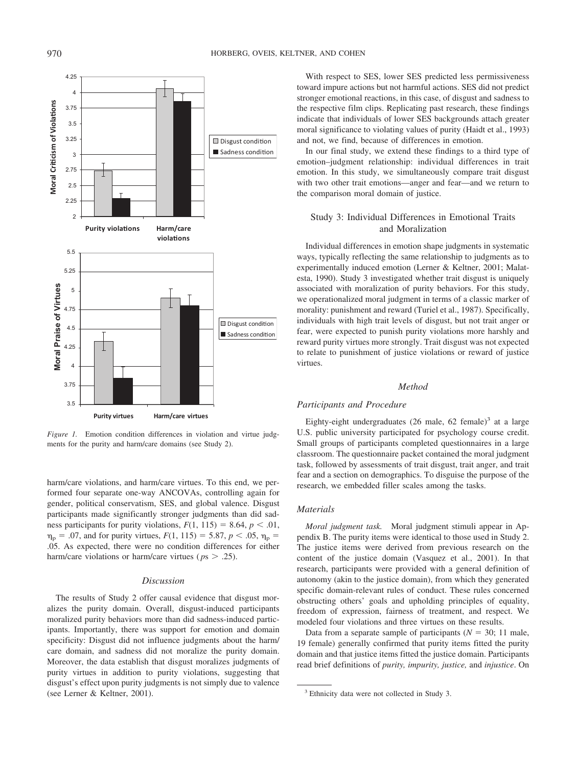

*Figure 1.* Emotion condition differences in violation and virtue judgments for the purity and harm/care domains (see Study 2).

harm/care violations, and harm/care virtues. To this end, we performed four separate one-way ANCOVAs, controlling again for gender, political conservatism, SES, and global valence. Disgust participants made significantly stronger judgments than did sadness participants for purity violations,  $F(1, 115) = 8.64$ ,  $p < .01$ ,  $n_p = .07$ , and for purity virtues,  $F(1, 115) = 5.87, p < .05, n_p =$ .05. As expected, there were no condition differences for either harm/care violations or harm/care virtues ( $p_s$   $> .25$ ).

### *Discussion*

The results of Study 2 offer causal evidence that disgust moralizes the purity domain. Overall, disgust-induced participants moralized purity behaviors more than did sadness-induced participants. Importantly, there was support for emotion and domain specificity: Disgust did not influence judgments about the harm/ care domain, and sadness did not moralize the purity domain. Moreover, the data establish that disgust moralizes judgments of purity virtues in addition to purity violations, suggesting that disgust's effect upon purity judgments is not simply due to valence (see Lerner & Keltner, 2001).

With respect to SES, lower SES predicted less permissiveness toward impure actions but not harmful actions. SES did not predict stronger emotional reactions, in this case, of disgust and sadness to the respective film clips. Replicating past research, these findings indicate that individuals of lower SES backgrounds attach greater moral significance to violating values of purity (Haidt et al., 1993) and not, we find, because of differences in emotion.

In our final study, we extend these findings to a third type of emotion–judgment relationship: individual differences in trait emotion. In this study, we simultaneously compare trait disgust with two other trait emotions—anger and fear—and we return to the comparison moral domain of justice.

# Study 3: Individual Differences in Emotional Traits and Moralization

Individual differences in emotion shape judgments in systematic ways, typically reflecting the same relationship to judgments as to experimentally induced emotion (Lerner & Keltner, 2001; Malatesta, 1990). Study 3 investigated whether trait disgust is uniquely associated with moralization of purity behaviors. For this study, we operationalized moral judgment in terms of a classic marker of morality: punishment and reward (Turiel et al., 1987). Specifically, individuals with high trait levels of disgust, but not trait anger or fear, were expected to punish purity violations more harshly and reward purity virtues more strongly. Trait disgust was not expected to relate to punishment of justice violations or reward of justice virtues.

## *Method*

### *Participants and Procedure*

Eighty-eight undergraduates (26 male, 62 female)<sup>3</sup> at a large U.S. public university participated for psychology course credit. Small groups of participants completed questionnaires in a large classroom. The questionnaire packet contained the moral judgment task, followed by assessments of trait disgust, trait anger, and trait fear and a section on demographics. To disguise the purpose of the research, we embedded filler scales among the tasks.

# *Materials*

*Moral judgment task.* Moral judgment stimuli appear in Appendix B. The purity items were identical to those used in Study 2. The justice items were derived from previous research on the content of the justice domain (Vasquez et al., 2001). In that research, participants were provided with a general definition of autonomy (akin to the justice domain), from which they generated specific domain-relevant rules of conduct. These rules concerned obstructing others' goals and upholding principles of equality, freedom of expression, fairness of treatment, and respect. We modeled four violations and three virtues on these results.

Data from a separate sample of participants ( $N = 30$ ; 11 male, 19 female) generally confirmed that purity items fitted the purity domain and that justice items fitted the justice domain. Participants read brief definitions of *purity, impurity, justice,* and *injustice*. On

<sup>3</sup> Ethnicity data were not collected in Study 3.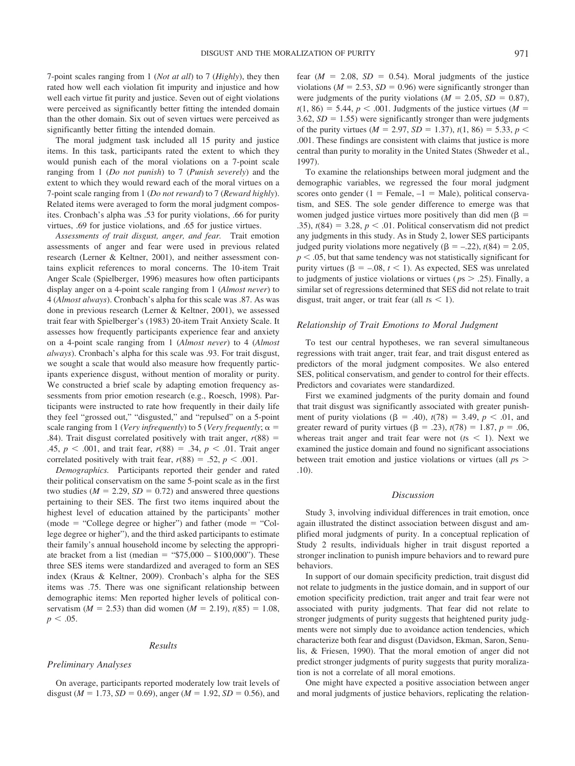7-point scales ranging from 1 (*Not at all*) to 7 (*Highly*), they then rated how well each violation fit impurity and injustice and how well each virtue fit purity and justice. Seven out of eight violations were perceived as significantly better fitting the intended domain than the other domain. Six out of seven virtues were perceived as significantly better fitting the intended domain.

The moral judgment task included all 15 purity and justice items. In this task, participants rated the extent to which they would punish each of the moral violations on a 7-point scale ranging from 1 (*Do not punish*) to 7 (*Punish severely*) and the extent to which they would reward each of the moral virtues on a 7-point scale ranging from 1 (*Do not reward*) to 7 (*Reward highly*). Related items were averaged to form the moral judgment composites. Cronbach's alpha was .53 for purity violations, .66 for purity virtues, .69 for justice violations, and .65 for justice virtues.

*Assessments of trait disgust, anger, and fear.* Trait emotion assessments of anger and fear were used in previous related research (Lerner & Keltner, 2001), and neither assessment contains explicit references to moral concerns. The 10-item Trait Anger Scale (Spielberger, 1996) measures how often participants display anger on a 4-point scale ranging from 1 (*Almost never*) to 4 (*Almost always*). Cronbach's alpha for this scale was .87. As was done in previous research (Lerner & Keltner, 2001), we assessed trait fear with Spielberger's (1983) 20-item Trait Anxiety Scale. It assesses how frequently participants experience fear and anxiety on a 4-point scale ranging from 1 (*Almost never*) to 4 (*Almost always*). Cronbach's alpha for this scale was .93. For trait disgust, we sought a scale that would also measure how frequently participants experience disgust, without mention of morality or purity. We constructed a brief scale by adapting emotion frequency assessments from prior emotion research (e.g., Roesch, 1998). Participants were instructed to rate how frequently in their daily life they feel "grossed out," "disgusted," and "repulsed" on a 5-point scale ranging from 1 (*Very infrequently*) to 5 (*Very frequently*;  $\alpha$  = .84). Trait disgust correlated positively with trait anger,  $r(88)$  = .45,  $p < .001$ , and trait fear,  $r(88) = .34$ ,  $p < .01$ . Trait anger correlated positively with trait fear,  $r(88) = .52$ ,  $p < .001$ .

*Demographics.* Participants reported their gender and rated their political conservatism on the same 5-point scale as in the first two studies  $(M = 2.29, SD = 0.72)$  and answered three questions pertaining to their SES. The first two items inquired about the highest level of education attained by the participants' mother  $\text{ (mode = "College degree or higher")}$  and father  $\text{(mode = "Col-}$ lege degree or higher"), and the third asked participants to estimate their family's annual household income by selecting the appropriate bracket from a list (median  $=$  "\$75,000 – \$100,000"). These three SES items were standardized and averaged to form an SES index (Kraus & Keltner, 2009). Cronbach's alpha for the SES items was .75. There was one significant relationship between demographic items: Men reported higher levels of political conservatism ( $M = 2.53$ ) than did women ( $M = 2.19$ ),  $t(85) = 1.08$ ,  $p < .05$ .

#### *Results*

### *Preliminary Analyses*

On average, participants reported moderately low trait levels of disgust ( $M = 1.73$ ,  $SD = 0.69$ ), anger ( $M = 1.92$ ,  $SD = 0.56$ ), and

fear  $(M = 2.08, SD = 0.54)$ . Moral judgments of the justice violations ( $M = 2.53$ ,  $SD = 0.96$ ) were significantly stronger than were judgments of the purity violations ( $M = 2.05$ ,  $SD = 0.87$ ),  $t(1, 86) = 5.44$ ,  $p < .001$ . Judgments of the justice virtues ( $M =$ 3.62,  $SD = 1.55$ ) were significantly stronger than were judgments of the purity virtues ( $M = 2.97$ ,  $SD = 1.37$ ),  $t(1, 86) = 5.33$ ,  $p <$ .001. These findings are consistent with claims that justice is more central than purity to morality in the United States (Shweder et al., 1997).

To examine the relationships between moral judgment and the demographic variables, we regressed the four moral judgment scores onto gender  $(1 =$  Female,  $-1 =$  Male), political conservatism, and SES. The sole gender difference to emerge was that women judged justice virtues more positively than did men ( $\beta$  = .35),  $t(84) = 3.28$ ,  $p < .01$ . Political conservatism did not predict any judgments in this study. As in Study 2, lower SES participants judged purity violations more negatively  $(\beta = -.22)$ ,  $t(84) = 2.05$ ,  $p < .05$ , but that same tendency was not statistically significant for purity virtues ( $\beta = -0.08$ ,  $t < 1$ ). As expected, SES was unrelated to judgments of justice violations or virtues ( $p_s > .25$ ). Finally, a similar set of regressions determined that SES did not relate to trait disgust, trait anger, or trait fear (all  $t_s < 1$ ).

# *Relationship of Trait Emotions to Moral Judgment*

To test our central hypotheses, we ran several simultaneous regressions with trait anger, trait fear, and trait disgust entered as predictors of the moral judgment composites. We also entered SES, political conservatism, and gender to control for their effects. Predictors and covariates were standardized.

First we examined judgments of the purity domain and found that trait disgust was significantly associated with greater punishment of purity violations ( $\beta = .40$ ),  $t(78) = 3.49$ ,  $p < .01$ , and greater reward of purity virtues ( $\beta = .23$ ),  $t(78) = 1.87$ ,  $p = .06$ , whereas trait anger and trait fear were not  $(ts < 1)$ . Next we examined the justice domain and found no significant associations between trait emotion and justice violations or virtues (all *p*s .10).

# *Discussion*

Study 3, involving individual differences in trait emotion, once again illustrated the distinct association between disgust and amplified moral judgments of purity. In a conceptual replication of Study 2 results, individuals higher in trait disgust reported a stronger inclination to punish impure behaviors and to reward pure behaviors.

In support of our domain specificity prediction, trait disgust did not relate to judgments in the justice domain, and in support of our emotion specificity prediction, trait anger and trait fear were not associated with purity judgments. That fear did not relate to stronger judgments of purity suggests that heightened purity judgments were not simply due to avoidance action tendencies, which characterize both fear and disgust (Davidson, Ekman, Saron, Senulis, & Friesen, 1990). That the moral emotion of anger did not predict stronger judgments of purity suggests that purity moralization is not a correlate of all moral emotions.

One might have expected a positive association between anger and moral judgments of justice behaviors, replicating the relation-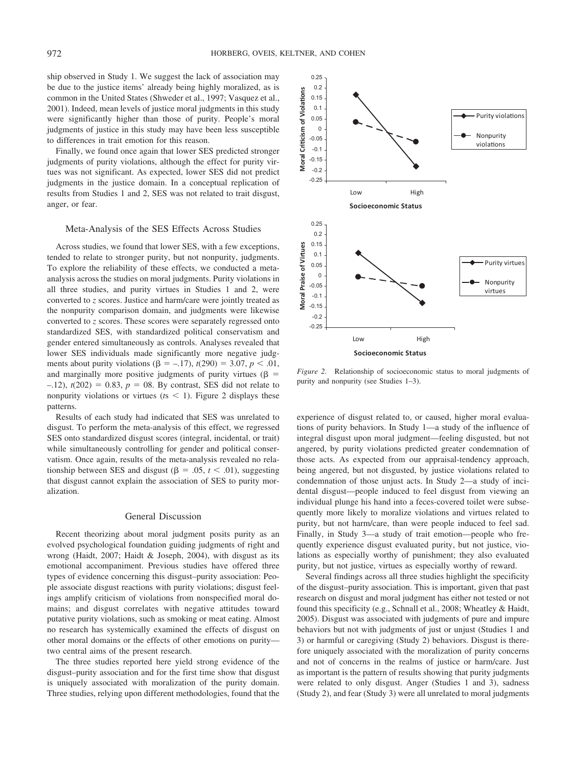ship observed in Study 1. We suggest the lack of association may be due to the justice items' already being highly moralized, as is common in the United States (Shweder et al., 1997; Vasquez et al., 2001). Indeed, mean levels of justice moral judgments in this study were significantly higher than those of purity. People's moral judgments of justice in this study may have been less susceptible to differences in trait emotion for this reason.

Finally, we found once again that lower SES predicted stronger judgments of purity violations, although the effect for purity virtues was not significant. As expected, lower SES did not predict judgments in the justice domain. In a conceptual replication of results from Studies 1 and 2, SES was not related to trait disgust, anger, or fear.

### Meta-Analysis of the SES Effects Across Studies

Across studies, we found that lower SES, with a few exceptions, tended to relate to stronger purity, but not nonpurity, judgments. To explore the reliability of these effects, we conducted a metaanalysis across the studies on moral judgments. Purity violations in all three studies, and purity virtues in Studies 1 and 2, were converted to *z* scores. Justice and harm/care were jointly treated as the nonpurity comparison domain, and judgments were likewise converted to *z* scores. These scores were separately regressed onto standardized SES, with standardized political conservatism and gender entered simultaneously as controls. Analyses revealed that lower SES individuals made significantly more negative judgments about purity violations ( $\beta = -.17$ ),  $t(290) = 3.07, p < .01$ , and marginally more positive judgments of purity virtues ( $\beta$  =  $-12$ ,  $t(202) = 0.83$ ,  $p = 08$ . By contrast, SES did not relate to nonpurity violations or virtues ( $t s < 1$ ). Figure 2 displays these patterns.

Results of each study had indicated that SES was unrelated to disgust. To perform the meta-analysis of this effect, we regressed SES onto standardized disgust scores (integral, incidental, or trait) while simultaneously controlling for gender and political conservatism. Once again, results of the meta-analysis revealed no relationship between SES and disgust ( $\beta = .05$ ,  $t < .01$ ), suggesting that disgust cannot explain the association of SES to purity moralization.

# General Discussion

Recent theorizing about moral judgment posits purity as an evolved psychological foundation guiding judgments of right and wrong (Haidt, 2007; Haidt & Joseph, 2004), with disgust as its emotional accompaniment. Previous studies have offered three types of evidence concerning this disgust–purity association: People associate disgust reactions with purity violations; disgust feelings amplify criticism of violations from nonspecified moral domains; and disgust correlates with negative attitudes toward putative purity violations, such as smoking or meat eating. Almost no research has systemically examined the effects of disgust on other moral domains or the effects of other emotions on purity two central aims of the present research.

The three studies reported here yield strong evidence of the disgust–purity association and for the first time show that disgust is uniquely associated with moralization of the purity domain. Three studies, relying upon different methodologies, found that the



*Figure 2.* Relationship of socioeconomic status to moral judgments of purity and nonpurity (see Studies 1–3).

experience of disgust related to, or caused, higher moral evaluations of purity behaviors. In Study 1—a study of the influence of integral disgust upon moral judgment—feeling disgusted, but not angered, by purity violations predicted greater condemnation of those acts. As expected from our appraisal-tendency approach, being angered, but not disgusted, by justice violations related to condemnation of those unjust acts. In Study 2—a study of incidental disgust—people induced to feel disgust from viewing an individual plunge his hand into a feces-covered toilet were subsequently more likely to moralize violations and virtues related to purity, but not harm/care, than were people induced to feel sad. Finally, in Study 3—a study of trait emotion—people who frequently experience disgust evaluated purity, but not justice, violations as especially worthy of punishment; they also evaluated purity, but not justice, virtues as especially worthy of reward.

Several findings across all three studies highlight the specificity of the disgust–purity association. This is important, given that past research on disgust and moral judgment has either not tested or not found this specificity (e.g., Schnall et al., 2008; Wheatley & Haidt, 2005). Disgust was associated with judgments of pure and impure behaviors but not with judgments of just or unjust (Studies 1 and 3) or harmful or caregiving (Study 2) behaviors. Disgust is therefore uniquely associated with the moralization of purity concerns and not of concerns in the realms of justice or harm/care. Just as important is the pattern of results showing that purity judgments were related to only disgust. Anger (Studies 1 and 3), sadness (Study 2), and fear (Study 3) were all unrelated to moral judgments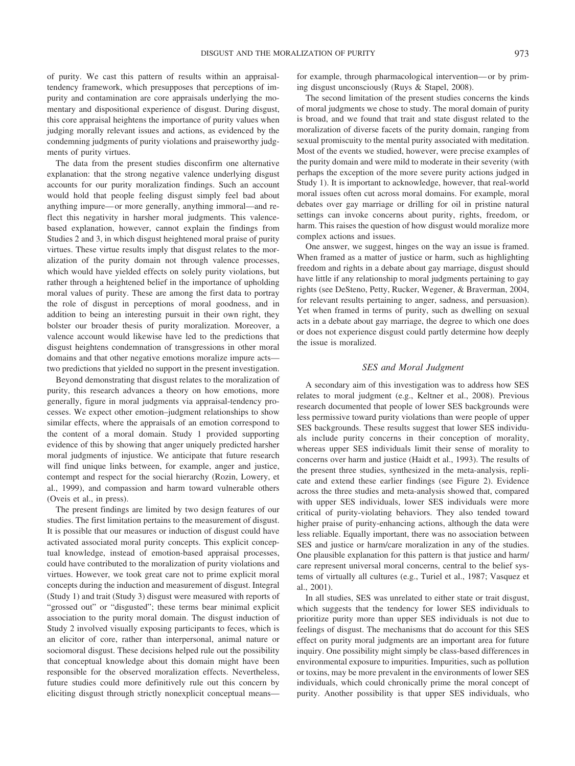of purity. We cast this pattern of results within an appraisaltendency framework, which presupposes that perceptions of impurity and contamination are core appraisals underlying the momentary and dispositional experience of disgust. During disgust, this core appraisal heightens the importance of purity values when judging morally relevant issues and actions, as evidenced by the condemning judgments of purity violations and praiseworthy judgments of purity virtues.

The data from the present studies disconfirm one alternative explanation: that the strong negative valence underlying disgust accounts for our purity moralization findings. Such an account would hold that people feeling disgust simply feel bad about anything impure— or more generally, anything immoral—and reflect this negativity in harsher moral judgments. This valencebased explanation, however, cannot explain the findings from Studies 2 and 3, in which disgust heightened moral praise of purity virtues. These virtue results imply that disgust relates to the moralization of the purity domain not through valence processes, which would have yielded effects on solely purity violations, but rather through a heightened belief in the importance of upholding moral values of purity. These are among the first data to portray the role of disgust in perceptions of moral goodness, and in addition to being an interesting pursuit in their own right, they bolster our broader thesis of purity moralization. Moreover, a valence account would likewise have led to the predictions that disgust heightens condemnation of transgressions in other moral domains and that other negative emotions moralize impure acts two predictions that yielded no support in the present investigation.

Beyond demonstrating that disgust relates to the moralization of purity, this research advances a theory on how emotions, more generally, figure in moral judgments via appraisal-tendency processes. We expect other emotion–judgment relationships to show similar effects, where the appraisals of an emotion correspond to the content of a moral domain. Study 1 provided supporting evidence of this by showing that anger uniquely predicted harsher moral judgments of injustice. We anticipate that future research will find unique links between, for example, anger and justice, contempt and respect for the social hierarchy (Rozin, Lowery, et al., 1999), and compassion and harm toward vulnerable others (Oveis et al., in press).

The present findings are limited by two design features of our studies. The first limitation pertains to the measurement of disgust. It is possible that our measures or induction of disgust could have activated associated moral purity concepts. This explicit conceptual knowledge, instead of emotion-based appraisal processes, could have contributed to the moralization of purity violations and virtues. However, we took great care not to prime explicit moral concepts during the induction and measurement of disgust. Integral (Study 1) and trait (Study 3) disgust were measured with reports of "grossed out" or "disgusted"; these terms bear minimal explicit association to the purity moral domain. The disgust induction of Study 2 involved visually exposing participants to feces, which is an elicitor of core, rather than interpersonal, animal nature or sociomoral disgust. These decisions helped rule out the possibility that conceptual knowledge about this domain might have been responsible for the observed moralization effects. Nevertheless, future studies could more definitively rule out this concern by eliciting disgust through strictly nonexplicit conceptual meansfor example, through pharmacological intervention— or by priming disgust unconsciously (Ruys & Stapel, 2008).

The second limitation of the present studies concerns the kinds of moral judgments we chose to study. The moral domain of purity is broad, and we found that trait and state disgust related to the moralization of diverse facets of the purity domain, ranging from sexual promiscuity to the mental purity associated with meditation. Most of the events we studied, however, were precise examples of the purity domain and were mild to moderate in their severity (with perhaps the exception of the more severe purity actions judged in Study 1). It is important to acknowledge, however, that real-world moral issues often cut across moral domains. For example, moral debates over gay marriage or drilling for oil in pristine natural settings can invoke concerns about purity, rights, freedom, or harm. This raises the question of how disgust would moralize more complex actions and issues.

One answer, we suggest, hinges on the way an issue is framed. When framed as a matter of justice or harm, such as highlighting freedom and rights in a debate about gay marriage, disgust should have little if any relationship to moral judgments pertaining to gay rights (see DeSteno, Petty, Rucker, Wegener, & Braverman, 2004, for relevant results pertaining to anger, sadness, and persuasion). Yet when framed in terms of purity, such as dwelling on sexual acts in a debate about gay marriage, the degree to which one does or does not experience disgust could partly determine how deeply the issue is moralized.

### *SES and Moral Judgment*

A secondary aim of this investigation was to address how SES relates to moral judgment (e.g., Keltner et al., 2008). Previous research documented that people of lower SES backgrounds were less permissive toward purity violations than were people of upper SES backgrounds. These results suggest that lower SES individuals include purity concerns in their conception of morality, whereas upper SES individuals limit their sense of morality to concerns over harm and justice (Haidt et al., 1993). The results of the present three studies, synthesized in the meta-analysis, replicate and extend these earlier findings (see Figure 2). Evidence across the three studies and meta-analysis showed that, compared with upper SES individuals, lower SES individuals were more critical of purity-violating behaviors. They also tended toward higher praise of purity-enhancing actions, although the data were less reliable. Equally important, there was no association between SES and justice or harm/care moralization in any of the studies. One plausible explanation for this pattern is that justice and harm/ care represent universal moral concerns, central to the belief systems of virtually all cultures (e.g., Turiel et al., 1987; Vasquez et al., 2001).

In all studies, SES was unrelated to either state or trait disgust, which suggests that the tendency for lower SES individuals to prioritize purity more than upper SES individuals is not due to feelings of disgust. The mechanisms that do account for this SES effect on purity moral judgments are an important area for future inquiry. One possibility might simply be class-based differences in environmental exposure to impurities. Impurities, such as pollution or toxins, may be more prevalent in the environments of lower SES individuals, which could chronically prime the moral concept of purity. Another possibility is that upper SES individuals, who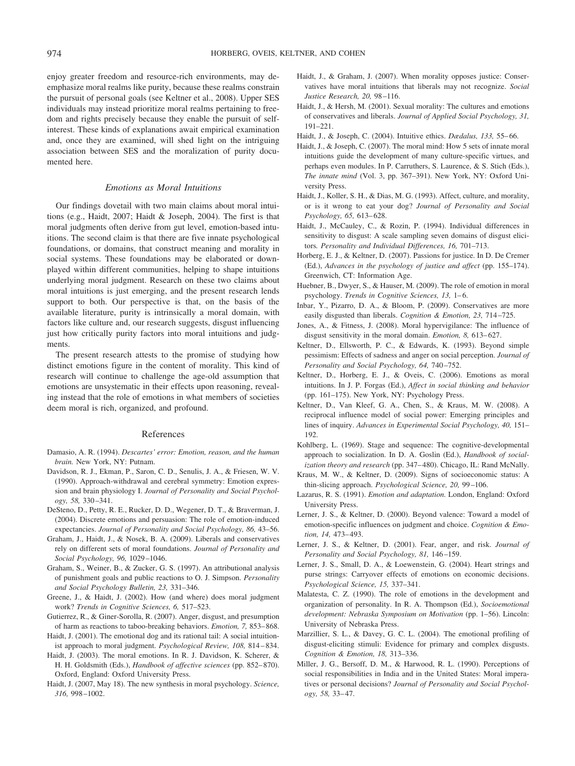enjoy greater freedom and resource-rich environments, may deemphasize moral realms like purity, because these realms constrain the pursuit of personal goals (see Keltner et al., 2008). Upper SES individuals may instead prioritize moral realms pertaining to freedom and rights precisely because they enable the pursuit of selfinterest. These kinds of explanations await empirical examination and, once they are examined, will shed light on the intriguing association between SES and the moralization of purity documented here.

#### *Emotions as Moral Intuitions*

Our findings dovetail with two main claims about moral intuitions (e.g., Haidt, 2007; Haidt & Joseph, 2004). The first is that moral judgments often derive from gut level, emotion-based intuitions. The second claim is that there are five innate psychological foundations, or domains, that construct meaning and morality in social systems. These foundations may be elaborated or downplayed within different communities, helping to shape intuitions underlying moral judgment. Research on these two claims about moral intuitions is just emerging, and the present research lends support to both. Our perspective is that, on the basis of the available literature, purity is intrinsically a moral domain, with factors like culture and, our research suggests, disgust influencing just how critically purity factors into moral intuitions and judgments.

The present research attests to the promise of studying how distinct emotions figure in the content of morality. This kind of research will continue to challenge the age-old assumption that emotions are unsystematic in their effects upon reasoning, revealing instead that the role of emotions in what members of societies deem moral is rich, organized, and profound.

### References

- Damasio, A. R. (1994). *Descartes' error: Emotion, reason, and the human brain.* New York, NY: Putnam.
- Davidson, R. J., Ekman, P., Saron, C. D., Senulis, J. A., & Friesen, W. V. (1990). Approach-withdrawal and cerebral symmetry: Emotion expression and brain physiology I. *Journal of Personality and Social Psychology, 58,* 330 –341.
- DeSteno, D., Petty, R. E., Rucker, D. D., Wegener, D. T., & Braverman, J. (2004). Discrete emotions and persuasion: The role of emotion-induced expectancies. *Journal of Personality and Social Psychology, 86,* 43–56.
- Graham, J., Haidt, J., & Nosek, B. A. (2009). Liberals and conservatives rely on different sets of moral foundations. *Journal of Personality and Social Psychology, 96,* 1029 –1046.
- Graham, S., Weiner, B., & Zucker, G. S. (1997). An attributional analysis of punishment goals and public reactions to O. J. Simpson. *Personality and Social Psychology Bulletin, 23,* 331–346.
- Greene, J., & Haidt, J. (2002). How (and where) does moral judgment work? *Trends in Cognitive Sciences, 6,* 517–523.
- Gutierrez, R., & Giner-Sorolla, R. (2007). Anger, disgust, and presumption of harm as reactions to taboo-breaking behaviors. *Emotion, 7,* 853– 868.
- Haidt, J. (2001). The emotional dog and its rational tail: A social intuitionist approach to moral judgment. *Psychological Review, 108,* 814 – 834.
- Haidt, J. (2003). The moral emotions. In R. J. Davidson, K. Scherer, & H. H. Goldsmith (Eds.), *Handbook of affective sciences* (pp. 852– 870). Oxford, England: Oxford University Press.
- Haidt, J. (2007, May 18). The new synthesis in moral psychology. *Science, 316,* 998 –1002.
- Haidt, J., & Graham, J. (2007). When morality opposes justice: Conservatives have moral intuitions that liberals may not recognize. *Social Justice Research, 20,* 98 –116.
- Haidt, J., & Hersh, M. (2001). Sexual morality: The cultures and emotions of conservatives and liberals. *Journal of Applied Social Psychology, 31,* 191–221.
- Haidt, J., & Joseph, C. (2004). Intuitive ethics. *Dædalus, 133,* 55– 66.
- Haidt, J., & Joseph, C. (2007). The moral mind: How 5 sets of innate moral intuitions guide the development of many culture-specific virtues, and perhaps even modules. In P. Carruthers, S. Laurence, & S. Stich (Eds.), *The innate mind* (Vol. 3, pp. 367–391). New York, NY: Oxford University Press.
- Haidt, J., Koller, S. H., & Dias, M. G. (1993). Affect, culture, and morality, or is it wrong to eat your dog? *Journal of Personality and Social Psychology, 65,* 613– 628.
- Haidt, J., McCauley, C., & Rozin, P. (1994). Individual differences in sensitivity to disgust: A scale sampling seven domains of disgust elicitors*. Personality and Individual Differences, 16,* 701–713.
- Horberg, E. J., & Keltner, D. (2007). Passions for justice. In D. De Cremer (Ed.), *Advances in the psychology of justice and affect* (pp. 155–174). Greenwich, CT: Information Age.
- Huebner, B., Dwyer, S., & Hauser, M. (2009). The role of emotion in moral psychology. *Trends in Cognitive Sciences, 13, 1*-6.
- Inbar, Y., Pizarro, D. A., & Bloom, P. (2009). Conservatives are more easily disgusted than liberals. *Cognition & Emotion, 23,* 714 –725.
- Jones, A., & Fitness, J. (2008). Moral hypervigilance: The influence of disgust sensitivity in the moral domain. *Emotion*, 8, 613-627.
- Keltner, D., Ellsworth, P. C., & Edwards, K. (1993). Beyond simple pessimism: Effects of sadness and anger on social perception. *Journal of* Personality and Social Psychology, 64, 740-752.
- Keltner, D., Horberg, E. J., & Oveis, C. (2006). Emotions as moral intuitions. In J. P. Forgas (Ed.), *Affect in social thinking and behavior* (pp. 161–175). New York, NY: Psychology Press.
- Keltner, D., Van Kleef, G. A., Chen, S., & Kraus, M. W. (2008). A reciprocal influence model of social power: Emerging principles and lines of inquiry. *Advances in Experimental Social Psychology, 40,* 151– 192.
- Kohlberg, L. (1969). Stage and sequence: The cognitive-developmental approach to socialization. In D. A. Goslin (Ed.), *Handbook of socialization theory and research* (pp. 347– 480). Chicago, IL: Rand McNally.
- Kraus, M. W., & Keltner, D. (2009). Signs of socioeconomic status: A thin-slicing approach. *Psychological Science, 20,* 99 –106.
- Lazarus, R. S. (1991). *Emotion and adaptation.* London, England: Oxford University Press.
- Lerner, J. S., & Keltner, D. (2000). Beyond valence: Toward a model of emotion-specific influences on judgment and choice. *Cognition & Emotion, 14,* 473– 493.
- Lerner, J. S., & Keltner, D. (2001). Fear, anger, and risk. *Journal of* Personality and Social Psychology, 81, 146-159.
- Lerner, J. S., Small, D. A., & Loewenstein, G. (2004). Heart strings and purse strings: Carryover effects of emotions on economic decisions. *Psychological Science, 15,* 337–341.
- Malatesta, C. Z. (1990). The role of emotions in the development and organization of personality. In R. A. Thompson (Ed.), *Socioemotional development: Nebraska Symposium on Motivation* (pp. 1–56). Lincoln: University of Nebraska Press.
- Marzillier, S. L., & Davey, G. C. L. (2004). The emotional profiling of disgust-eliciting stimuli: Evidence for primary and complex disgusts. *Cognition & Emotion, 18,* 313–336.
- Miller, J. G., Bersoff, D. M., & Harwood, R. L. (1990). Perceptions of social responsibilities in India and in the United States: Moral imperatives or personal decisions? *Journal of Personality and Social Psychology, 58,* 33– 47.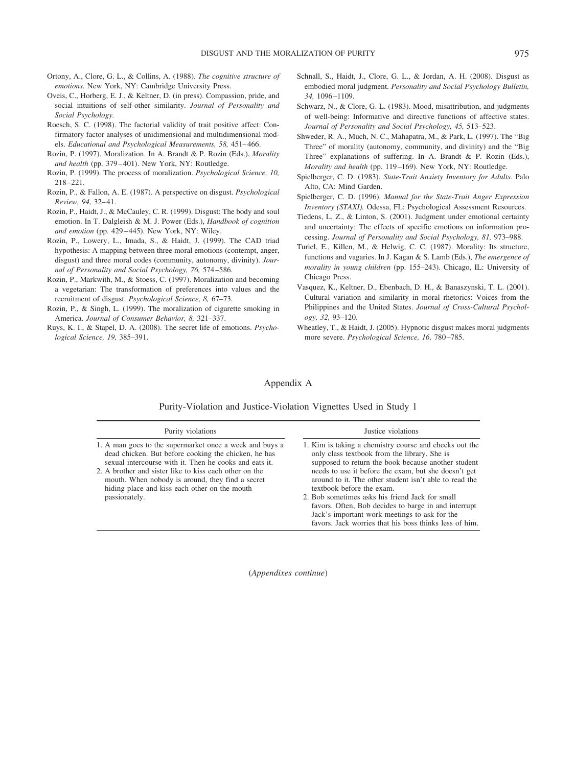Ortony, A., Clore, G. L., & Collins, A. (1988). *The cognitive structure of emotions.* New York, NY: Cambridge University Press.

Oveis, C., Horberg, E. J., & Keltner, D. (in press). Compassion, pride, and social intuitions of self-other similarity. *Journal of Personality and Social Psychology.*

Roesch, S. C. (1998). The factorial validity of trait positive affect: Confirmatory factor analyses of unidimensional and multidimensional models. *Educational and Psychological Measurements, 58,* 451– 466.

- Rozin, P. (1997). Moralization. In A. Brandt & P. Rozin (Eds.), *Morality* and health (pp. 379–401). New York, NY: Routledge.
- Rozin, P. (1999). The process of moralization. *Psychological Science, 10,* 218 –221.
- Rozin, P., & Fallon, A. E. (1987). A perspective on disgust. *Psychological Review, 94,* 32– 41.
- Rozin, P., Haidt, J., & McCauley, C. R. (1999). Disgust: The body and soul emotion. In T. Dalgleish & M. J. Power (Eds.), *Handbook of cognition and emotion* (pp. 429 – 445). New York, NY: Wiley.
- Rozin, P., Lowery, L., Imada, S., & Haidt, J. (1999). The CAD triad hypothesis: A mapping between three moral emotions (contempt, anger, disgust) and three moral codes (community, autonomy, divinity). *Journal of Personality and Social Psychology, 76,* 574 –586.
- Rozin, P., Markwith, M., & Stoess, C. (1997). Moralization and becoming a vegetarian: The transformation of preferences into values and the recruitment of disgust. *Psychological Science, 8,* 67–73.
- Rozin, P., & Singh, L. (1999). The moralization of cigarette smoking in America. *Journal of Consumer Behavior, 8,* 321–337.
- Ruys, K. I., & Stapel, D. A. (2008). The secret life of emotions. *Psychological Science, 19,* 385–391.
- Schnall, S., Haidt, J., Clore, G. L., & Jordan, A. H. (2008). Disgust as embodied moral judgment. *Personality and Social Psychology Bulletin, 34,* 1096 –1109.
- Schwarz, N., & Clore, G. L. (1983). Mood, misattribution, and judgments of well-being: Informative and directive functions of affective states. *Journal of Personality and Social Psychology, 45,* 513–523.
- Shweder, R. A., Much, N. C., Mahapatra, M., & Park, L. (1997). The "Big Three" of morality (autonomy, community, and divinity) and the "Big Three" explanations of suffering. In A. Brandt & P. Rozin (Eds.), *Morality and health* (pp. 119 –169). New York, NY: Routledge.
- Spielberger, C. D. (1983). *State-Trait Anxiety Inventory for Adults.* Palo Alto, CA: Mind Garden.
- Spielberger, C. D. (1996). *Manual for the State-Trait Anger Expression Inventory (STAXI).* Odessa, FL: Psychological Assessment Resources.
- Tiedens, L. Z., & Linton, S. (2001). Judgment under emotional certainty and uncertainty: The effects of specific emotions on information processing. *Journal of Personality and Social Psychology, 81,* 973–988.
- Turiel, E., Killen, M., & Helwig, C. C. (1987). Morality: Its structure, functions and vagaries. In J. Kagan & S. Lamb (Eds.), *The emergence of morality in young children* (pp. 155–243). Chicago, IL: University of Chicago Press.
- Vasquez, K., Keltner, D., Ebenbach, D. H., & Banaszynski, T. L. (2001). Cultural variation and similarity in moral rhetorics: Voices from the Philippines and the United States. *Journal of Cross-Cultural Psychology, 32,* 93–120.
- Wheatley, T., & Haidt, J. (2005). Hypnotic disgust makes moral judgments more severe. *Psychological Science, 16,* 780 –785.

# Appendix A

Purity-Violation and Justice-Violation Vignettes Used in Study 1

| Purity violations                                                                                                                                                                                                                                                                                                                                         | Justice violations                                                                                                                                                                                                                                                                                                                                                                                                                                                                                                                 |
|-----------------------------------------------------------------------------------------------------------------------------------------------------------------------------------------------------------------------------------------------------------------------------------------------------------------------------------------------------------|------------------------------------------------------------------------------------------------------------------------------------------------------------------------------------------------------------------------------------------------------------------------------------------------------------------------------------------------------------------------------------------------------------------------------------------------------------------------------------------------------------------------------------|
| 1. A man goes to the supermarket once a week and buys a<br>dead chicken. But before cooking the chicken, he has<br>sexual intercourse with it. Then he cooks and eats it.<br>2. A brother and sister like to kiss each other on the<br>mouth. When nobody is around, they find a secret<br>hiding place and kiss each other on the mouth<br>passionately. | 1. Kim is taking a chemistry course and checks out the<br>only class textbook from the library. She is<br>supposed to return the book because another student<br>needs to use it before the exam, but she doesn't get<br>around to it. The other student isn't able to read the<br>textbook before the exam.<br>2. Bob sometimes asks his friend Jack for small<br>favors. Often, Bob decides to barge in and interrupt<br>Jack's important work meetings to ask for the<br>favors. Jack worries that his boss thinks less of him. |

(*Appendixes continue*)